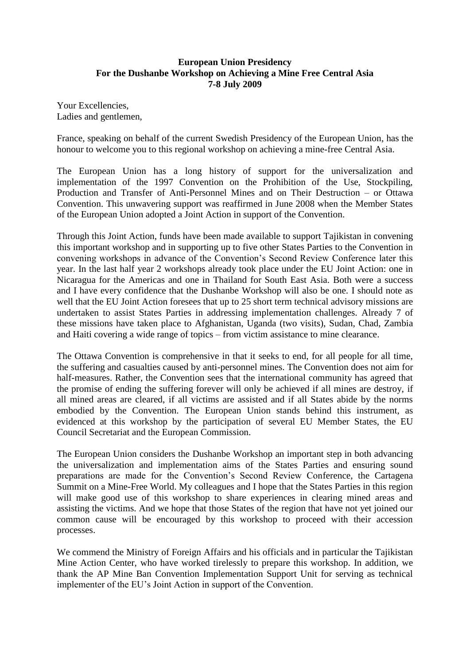## **European Union Presidency For the Dushanbe Workshop on Achieving a Mine Free Central Asia 7-8 July 2009**

Your Excellencies, Ladies and gentlemen,

France, speaking on behalf of the current Swedish Presidency of the European Union, has the honour to welcome you to this regional workshop on achieving a mine-free Central Asia.

The European Union has a long history of support for the universalization and implementation of the 1997 Convention on the Prohibition of the Use, Stockpiling, Production and Transfer of Anti-Personnel Mines and on Their Destruction – or Ottawa Convention. This unwavering support was reaffirmed in June 2008 when the Member States of the European Union adopted a Joint Action in support of the Convention.

Through this Joint Action, funds have been made available to support Tajikistan in convening this important workshop and in supporting up to five other States Parties to the Convention in convening workshops in advance of the Convention's Second Review Conference later this year. In the last half year 2 workshops already took place under the EU Joint Action: one in Nicaragua for the Americas and one in Thailand for South East Asia. Both were a success and I have every confidence that the Dushanbe Workshop will also be one. I should note as well that the EU Joint Action foresees that up to 25 short term technical advisory missions are undertaken to assist States Parties in addressing implementation challenges. Already 7 of these missions have taken place to Afghanistan, Uganda (two visits), Sudan, Chad, Zambia and Haiti covering a wide range of topics – from victim assistance to mine clearance.

The Ottawa Convention is comprehensive in that it seeks to end, for all people for all time, the suffering and casualties caused by anti-personnel mines. The Convention does not aim for half-measures. Rather, the Convention sees that the international community has agreed that the promise of ending the suffering forever will only be achieved if all mines are destroy, if all mined areas are cleared, if all victims are assisted and if all States abide by the norms embodied by the Convention. The European Union stands behind this instrument, as evidenced at this workshop by the participation of several EU Member States, the EU Council Secretariat and the European Commission.

The European Union considers the Dushanbe Workshop an important step in both advancing the universalization and implementation aims of the States Parties and ensuring sound preparations are made for the Convention's Second Review Conference, the Cartagena Summit on a Mine-Free World. My colleagues and I hope that the States Parties in this region will make good use of this workshop to share experiences in clearing mined areas and assisting the victims. And we hope that those States of the region that have not yet joined our common cause will be encouraged by this workshop to proceed with their accession processes.

We commend the Ministry of Foreign Affairs and his officials and in particular the Tajikistan Mine Action Center, who have worked tirelessly to prepare this workshop. In addition, we thank the AP Mine Ban Convention Implementation Support Unit for serving as technical implementer of the EU's Joint Action in support of the Convention.